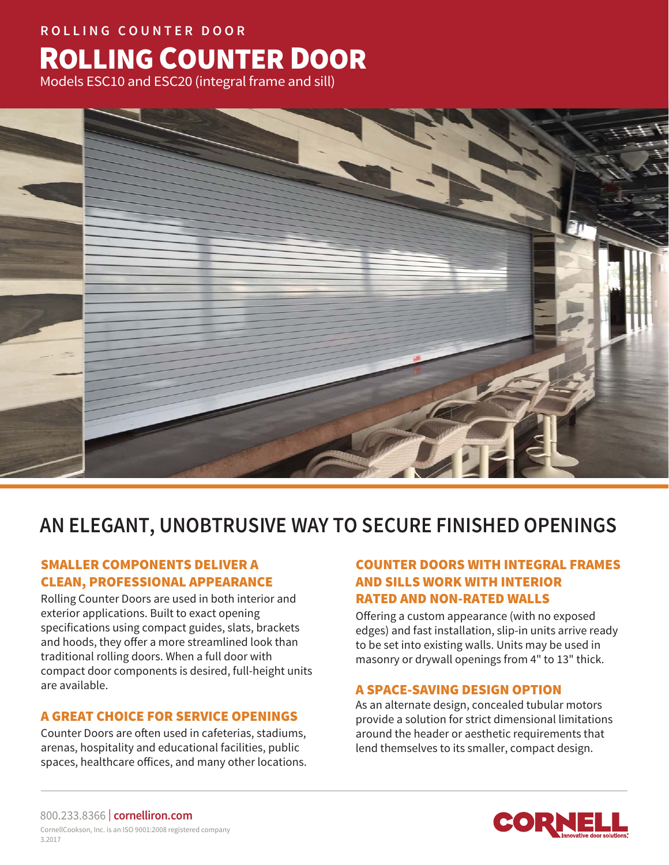# **ROLLING COUNTER DOOR** ROLLING COUNTER DOOR

Models ESC10 and ESC20 (integral frame and sill)



# **AN ELEGANT, UNOBTRUSIVE WAY TO SECURE FINISHED OPENINGS**

### SMALLER COMPONENTS DELIVER A CLEAN, PROFESSIONAL APPEARANCE

Rolling Counter Doors are used in both interior and exterior applications. Built to exact opening specifications using compact guides, slats, brackets and hoods, they offer a more streamlined look than traditional rolling doors. When a full door with compact door components is desired, full-height units are available.

### A GREAT CHOICE FOR SERVICE OPENINGS

Counter Doors are often used in cafeterias, stadiums, arenas, hospitality and educational facilities, public spaces, healthcare offices, and many other locations.

### COUNTER DOORS WITH INTEGRAL FRAMES AND SILLS WORK WITH INTERIOR RATED AND NON-RATED WALLS

Offering a custom appearance (with no exposed edges) and fast installation, slip-in units arrive ready to be set into existing walls. Units may be used in masonry or drywall openings from 4" to 13" thick.

### A SPACE-SAVING DESIGN OPTION

As an alternate design, concealed tubular motors provide a solution for strict dimensional limitations around the header or aesthetic requirements that lend themselves to its smaller, compact design.